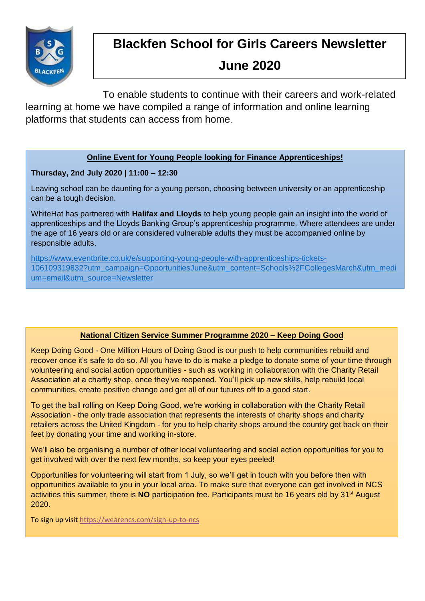

# **Blackfen School for Girls Careers Newsletter**

# **June 2020**

To enable students to continue with their careers and work-related learning at home we have compiled a range of information and online learning platforms that students can access from home.

## **Online Event for Young People looking for Finance Apprenticeships!**

## **Thursday, 2nd July 2020 | 11:00 – 12:30**

Leaving school can be daunting for a young person, choosing between university or an apprenticeship can be a tough decision.

WhiteHat has partnered with **Halifax and Lloyds** to help young people gain an insight into the world of apprenticeships and the Lloyds Banking Group's apprenticeship programme. Where attendees are under the age of 16 years old or are considered vulnerable adults they must be accompanied online by responsible adults.

[https://www.eventbrite.co.uk/e/supporting-young-people-with-apprenticeships-tickets-](https://www.eventbrite.co.uk/e/supporting-young-people-with-apprenticeships-tickets-106109319832?utm_campaign=OpportunitiesJune&utm_content=Schools%2FCollegesMarch&utm_medium=email&utm_source=Newsletter)[106109319832?utm\\_campaign=OpportunitiesJune&utm\\_content=Schools%2FCollegesMarch&utm\\_medi](https://www.eventbrite.co.uk/e/supporting-young-people-with-apprenticeships-tickets-106109319832?utm_campaign=OpportunitiesJune&utm_content=Schools%2FCollegesMarch&utm_medium=email&utm_source=Newsletter) [um=email&utm\\_source=Newsletter](https://www.eventbrite.co.uk/e/supporting-young-people-with-apprenticeships-tickets-106109319832?utm_campaign=OpportunitiesJune&utm_content=Schools%2FCollegesMarch&utm_medium=email&utm_source=Newsletter)

## **National Citizen Service Summer Programme 2020 – Keep Doing Good**

Keep Doing Good - One Million Hours of Doing Good is our push to help communities rebuild and recover once it's safe to do so. All you have to do is make a pledge to donate some of your time through volunteering and social action opportunities - such as working in collaboration with the Charity Retail Association at a charity shop, once they've reopened. You'll pick up new skills, help rebuild local communities, create positive change and get all of our futures off to a good start.

To get the ball rolling on Keep Doing Good, we're working in collaboration with the Charity Retail Association - the only trade association that represents the interests of charity shops and charity retailers across the United Kingdom - for you to help charity shops around the country get back on their feet by donating your time and working in-store.

We'll also be organising a number of other local volunteering and social action opportunities for you to get involved with over the next few months, so keep your eyes peeled!

Opportunities for volunteering will start from 1 July, so we'll get in touch with you before then with opportunities available to you in your local area. To make sure that everyone can get involved in NCS activities this summer, there is **NO** participation fee. Participants must be 16 years old by 31<sup>st</sup> August 2020.

To sign up visi[t https://wearencs.com/sign-up-to-ncs](https://wearencs.com/sign-up-to-ncs)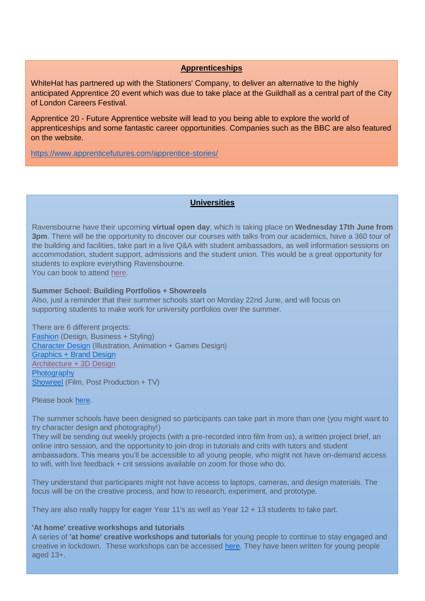### **Apprenticeships**

WhiteHat has partnered up with the Stationers' Company, to deliver an alternative to the highly anticipated Apprentice 20 event which was due to take place at the Guildhall as a central part of the City of London Careers Festival.

Apprentice 20 - Future Apprentice website will lead to you being able to explore the world of apprenticeships and some fantastic career opportunities. Companies such as the BBC are also featured on the website.

<https://www.apprenticefutures.com/apprentice-stories/>

### **Universities**

Ravensbourne have their upcoming **virtual open day**, which is taking place on **Wednesday 17th June from 3pm**. There will be the opportunity to discover our courses with talks from our academics, have a 360 tour of the building and facilities, take part in a live Q&A with student ambassadors, as well information sessions on accommodation, student support, admissions and the student union. This would be a great opportunity for students to explore everything Ravensbourne.

You can book to attend [here.](https://emea.radiusbycampusmgmt.com/crm/CRMUrlRedirect.sas?cbLta5tIK=5068000000668801&hHm03GanIn=5068000001126133&u=aHR0cHM6Ly93d3cucmF2ZW5zYm91cm5lLmFjLnVrL3N0dWR5LWhlcmUvb3Blbi1ldmVudHMtYW5kLXRvdXJzLz91dG1fc291cmNlPWdvb2dsZSZhbXA7dXRtX21lZGl1bT1jcGMmYW1wO3V0bV9jYW1wYWlnbj1lY19vcGVuZGF5c18yMDIwJmFtcDt1dG1fY29udGVudD1jb252ZXJzaW9u&u5eyNm8e=bC5zbGF0ZXJAcmF2ZS5hYy51aw==&newEvent=true)

#### **Summer School: Building Portfolios + Showreels**

Also, just a reminder that their summer schools start on Monday 22nd June, and will focus on supporting students to make work for university portfolios over the summer.

There are 6 different projects: [Fashion](https://emea.radiusbycampusmgmt.com/crm/CRMUrlRedirect.sas?cbLta5tIK=5068000000668801&hHm03GanIn=5068000001126133&u=aHR0cHM6Ly93d3cueW91dHViZS5jb20vd2F0Y2g%2Fdj1uQUFQc2gwdkxzWSZhbXA7YXV0b3BsYXk9MSZhbXA7bXV0ZT0w&u5eyNm8e=bC5zbGF0ZXJAcmF2ZS5hYy51aw==&newEvent=true) (Design, Business + Styling) [Character Design](https://emea.radiusbycampusmgmt.com/crm/CRMUrlRedirect.sas?cbLta5tIK=5068000000668801&hHm03GanIn=5068000001126133&u=aHR0cHM6Ly93d3cueW91dHViZS5jb20vd2F0Y2g%2Fdj1iWHVGQ3MyejlNOCZhbXA7YXV0b3BsYXk9MSZhbXA7bXV0ZT0w&u5eyNm8e=bC5zbGF0ZXJAcmF2ZS5hYy51aw==&newEvent=true) (Illustration, Animation + Games Design) [Graphics + Brand Design](https://emea.radiusbycampusmgmt.com/crm/CRMUrlRedirect.sas?cbLta5tIK=5068000000668801&hHm03GanIn=5068000001126133&u=aHR0cHM6Ly93d3cueW91dHViZS5jb20vd2F0Y2g%2Fdj1rejN4RG5xZURkZyZhbXA7YXV0b3BsYXk9MSZhbXA7bXV0ZT0w&u5eyNm8e=bC5zbGF0ZXJAcmF2ZS5hYy51aw==&newEvent=true) [Architecture + 3D Design](https://emea.radiusbycampusmgmt.com/crm/CRMUrlRedirect.sas?cbLta5tIK=5068000000668801&hHm03GanIn=5068000001126133&u=aHR0cHM6Ly93d3cueW91dHViZS5jb20vd2F0Y2g%2Fdj1lZmh0Y2kzRWJwbyZhbXA7YXV0b3BsYXk9MSZhbXA7bXV0ZT0w&u5eyNm8e=bC5zbGF0ZXJAcmF2ZS5hYy51aw==&newEvent=true) **[Photography](https://emea.radiusbycampusmgmt.com/crm/CRMUrlRedirect.sas?cbLta5tIK=5068000000668801&hHm03GanIn=5068000001126133&u=aHR0cHM6Ly93d3cueW91dHViZS5jb20vd2F0Y2g%2Fdj1kVEVnY3RvdTlxZyZhbXA7ZmVhdHVyZT15b3V0dS5iZSZhbXA7YXV0b3BsYXk9MSZhbXA7bXV0ZT0w&u5eyNm8e=bC5zbGF0ZXJAcmF2ZS5hYy51aw==&newEvent=true)** [Showreel](https://emea.radiusbycampusmgmt.com/crm/CRMUrlRedirect.sas?cbLta5tIK=5068000000668801&hHm03GanIn=5068000001126133&u=aHR0cHM6Ly93d3cueW91dHViZS5jb20vd2F0Y2g%2Fdj1Qdk56My1pX3M1ZyZhbXA7YXV0b3BsYXk9MSZhbXA7bXV0ZT0w&u5eyNm8e=bC5zbGF0ZXJAcmF2ZS5hYy51aw==&newEvent=true) (Film, Post Production + TV)

Please book [here.](https://emea.radiusbycampusmgmt.com/crm/CRMUrlRedirect.sas?cbLta5tIK=5068000000668801&hHm03GanIn=5068000001126133&u=aHR0cHM6Ly9saW5rdHIuZWUvUmF2ZW5zYm91cm5lT3V0cmVhY2g%3D&u5eyNm8e=bC5zbGF0ZXJAcmF2ZS5hYy51aw==&newEvent=true)

The summer schools have been designed so participants can take part in more than one (you might want to try character design and photography!)

They will be sending out weekly projects (with a pre-recorded intro film from us), a written project brief, an online intro session, and the opportunity to join drop in tutorials and crits with tutors and student ambassadors. This means you'll be accessible to all young people, who might not have on-demand access to wifi, with live feedback + crit sessions available on zoom for those who do.

They understand that participants might not have access to laptops, cameras, and design materials. The focus will be on the creative process, and how to research, experiment, and prototype.

They are also really happy for eager Year 11's as well as Year 12 + 13 students to take part.

#### **'At home' creative workshops and tutorials**

A series of **'at home' creative workshops and tutorials** for young people to continue to stay engaged and creative in lockdown. These workshops can be accessed [here.](https://emea.radiusbycampusmgmt.com/crm/CRMUrlRedirect.sas?cbLta5tIK=5068000000668801&hHm03GanIn=5068000001126133&u=aHR0cDovL3d3dy5tYWtlaXQucmF2ZW5zYm91cm5lLmFjLnVrL2NyZWF0aXZlLXByb2plY3Rz&u5eyNm8e=bC5zbGF0ZXJAcmF2ZS5hYy51aw==&newEvent=true) They have been written for young people aged 13+.